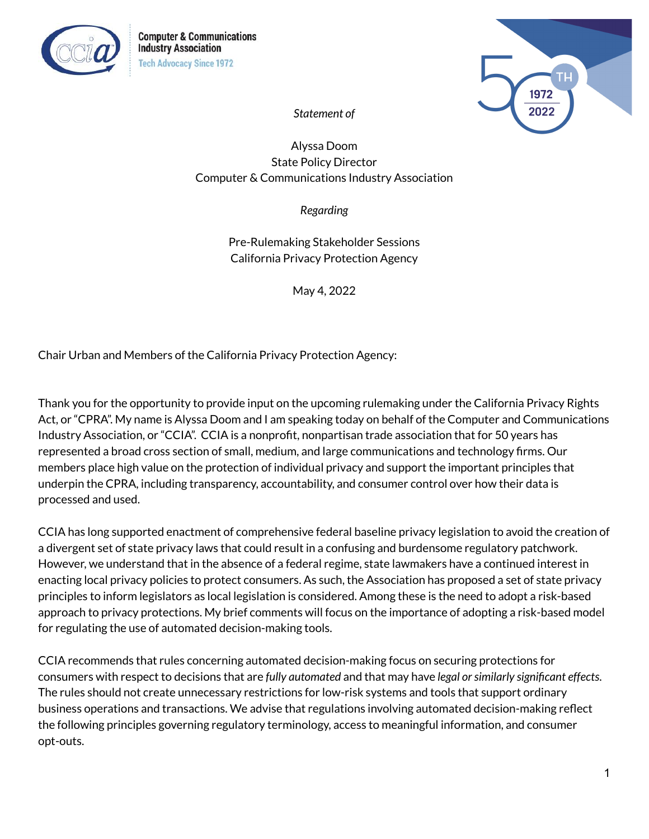



*Statement of*

Alyssa Doom State Policy Director Computer & Communications Industry Association

*Regarding*

Pre-Rulemaking Stakeholder Sessions California Privacy Protection Agency

May 4, 2022

Chair Urban and Members of the California Privacy Protection Agency:

Thank you for the opportunity to provide input on the upcoming rulemaking under the California Privacy Rights Act, or "CPRA". My name is Alyssa Doom and I am speaking today on behalf of the Computer and Communications Industry Association, or "CCIA". CCIA is a nonprofit, nonpartisan trade association that for 50 years has represented a broad cross section of small, medium, and large communications and technology firms. Our members place high value on the protection of individual privacy and support the important principles that underpin the CPRA, including transparency, accountability, and consumer control over how their data is processed and used.

CCIA has long supported enactment of comprehensive federal baseline privacy legislation to avoid the creation of a divergent set of state privacy laws that could result in a confusing and burdensome regulatory patchwork. However, we understand that in the absence of a federal regime, state lawmakers have a continued interest in enacting local privacy policies to protect consumers. As such, the Association has proposed a set of state privacy principles to inform legislators as local legislation is considered. Among these is the need to adopt a risk-based approach to privacy protections. My brief comments will focus on the importance of adopting a risk-based model for regulating the use of automated decision-making tools.

CCIA recommends that rules concerning automated decision-making focus on securing protections for consumers with respect to decisions that are *fully automated* and that may have *legal orsimilarly significant effects*. The rules should not create unnecessary restrictions for low-risk systems and tools that support ordinary business operations and transactions. We advise that regulations involving automated decision-making reflect the following principles governing regulatory terminology, access to meaningful information, and consumer opt-outs.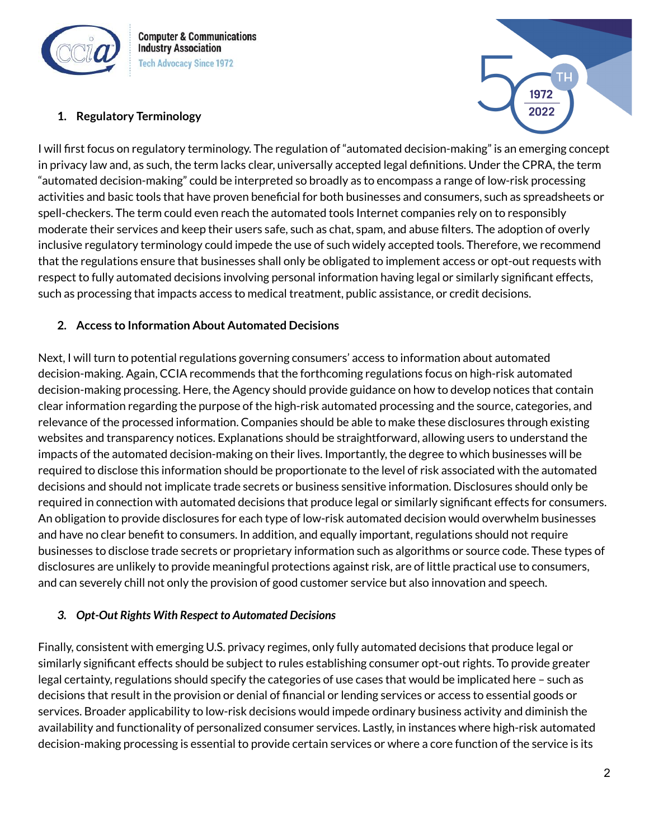

**Computer & Communications Industry Association Tech Advocacy Since 1972** 

## **1. Regulatory Terminology**



I will first focus on regulatory terminology. The regulation of "automated decision-making" is an emerging concept in privacy law and, as such, the term lacks clear, universally accepted legal definitions. Under the CPRA, the term "automated decision-making" could be interpreted so broadly as to encompass a range of low-risk processing activities and basic tools that have proven beneficial for both businesses and consumers, such as spreadsheets or spell-checkers. The term could even reach the automated tools Internet companies rely on to responsibly moderate their services and keep their users safe, such as chat, spam, and abuse filters. The adoption of overly inclusive regulatory terminology could impede the use of such widely accepted tools. Therefore, we recommend that the regulations ensure that businesses shall only be obligated to implement access or opt-out requests with respect to fully automated decisions involving personal information having legal or similarly significant effects, such as processing that impacts access to medical treatment, public assistance, or credit decisions.

## **2. Access to Information About Automated Decisions**

Next, I will turn to potential regulations governing consumers' access to information about automated decision-making. Again, CCIA recommends that the forthcoming regulations focus on high-risk automated decision-making processing. Here, the Agency should provide guidance on how to develop notices that contain clear information regarding the purpose of the high-risk automated processing and the source, categories, and relevance of the processed information. Companies should be able to make these disclosures through existing websites and transparency notices. Explanations should be straightforward, allowing users to understand the impacts of the automated decision-making on their lives. Importantly, the degree to which businesses will be required to disclose this information should be proportionate to the level of risk associated with the automated decisions and should not implicate trade secrets or business sensitive information. Disclosures should only be required in connection with automated decisions that produce legal or similarly significant effects for consumers. An obligation to provide disclosures for each type of low-risk automated decision would overwhelm businesses and have no clear benefit to consumers. In addition, and equally important, regulations should not require businesses to disclose trade secrets or proprietary information such as algorithms or source code. These types of disclosures are unlikely to provide meaningful protections against risk, are of little practical use to consumers, and can severely chill not only the provision of good customer service but also innovation and speech.

## *3. Opt-Out Rights With Respect to Automated Decisions*

Finally, consistent with emerging U.S. privacy regimes, only fully automated decisions that produce legal or similarly significant effects should be subject to rules establishing consumer opt-out rights. To provide greater legal certainty, regulations should specify the categories of use cases that would be implicated here – such as decisions that result in the provision or denial of financial or lending services or access to essential goods or services. Broader applicability to low-risk decisions would impede ordinary business activity and diminish the availability and functionality of personalized consumer services. Lastly, in instances where high-risk automated decision-making processing is essential to provide certain services or where a core function of the service is its